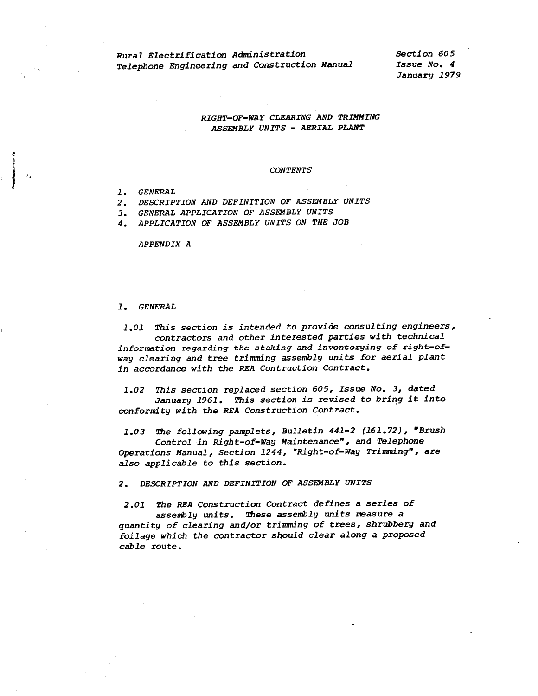*Rural Electrification Administration Telephone Engineering and Construction Manual*  *Section 605 Issue No. 4 January 1979* 

## *RIGHT-OF-WAY CLEARING AND TRIMMING ASSEMBLY UNITS* - *AERIAL PLANT*

## *CONTENTS*

*1. GENERAL* 

l '•

*2. DESCRIPTION AND DEFINITION OF ASSEMBLY UNITS* 

*3. GENERAL APPLICATION OF ASSEMBLY UNITS* 

*4. APPLICATION OF ASSEMBLY UNITS ON THE JOB* 

*APPENDIX A* 

## *1. GENERAL*

*1.01 T.his section is intended* to *provide consulting engineers, contractors and other interested parties with technical information regarding the staking and inventorying of right-ofway clearing and* tree *trimmdng assembly units for aerial plant in accordance with the REA Contruction Contract.* 

*1.02 T.his section replaced section 605, Issue No. 3, dated January 1961. This section is revised to bring it into conformity with the REA Construction Contract.* 

*1.03 T.he following pamplets, Bulletin 441-2 (161.72), "Brush Control in Right-of-Wag Maintenance", and Telephone Operations Manual, Section 1244, "Right-of-Way Trimming", are* 

*also applicable to this section.* 

*2. DESCRIPTION AND DEFINITION OF ASSEMBLY UNITS* 

*2.01 T.he REA Construction Contract defines a series of assenblg units. T.hese assembly units measure <sup>a</sup> quantity of clearing and/or trimming of trees, shrubbery and foilage which the contractor should clear along a propose<sup>d</sup> cable route.*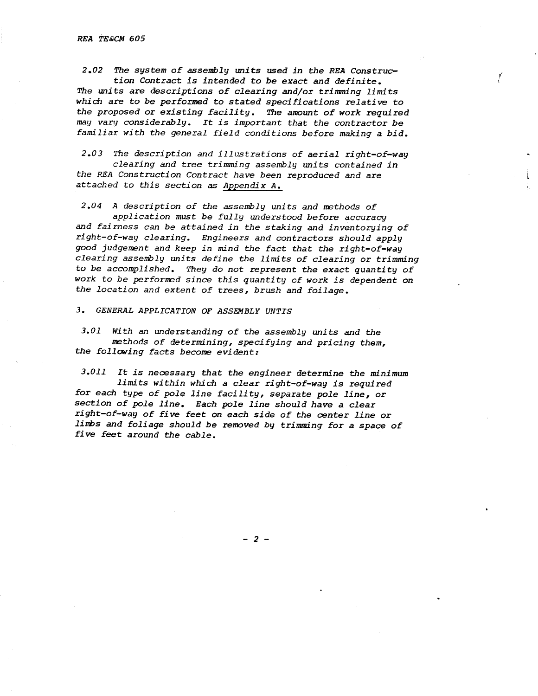*2.02 The system of assembly Wlits used in the REA Construction Contract is intended to be exact and definite. The units are descriptions of clearing and/or trimming limits which are to be performed to stated specifications relative to the proposed* or *existing facility. The amount of work required may vary considerably. It is important that the contractor be familiar with the general field conditions before making a bid.* 

*<sup>2</sup>.OJ The description and illustrations of aerial right-of-way clearing and tree trimming assembly units contained in the REA Construction Contract have been reproduced and are attached to this section as Appendix A.* 

*2.04 A description of* tl1e *assembly units and methods of* 

*application must be fully understood before accuracy and fairness can be attained in the staking and inventorying of right-of-way clearing. Engineers and contractors should apply good judgement and keep in mind the fact that the right-of-way clearing assembly units define the limits of clearing* or *trimming to be accomplished. They do not represent the exact quantity of work to be performed since this quantity of work is dependent on the location and extent of trees, brush and foilage.* 

*3. GENERAL APPLICATION OF ASSEMBLY UNTIS* 

*3.01 With an understanding of the assembly units and the methods of determining, specifying and pricing them, the following facts become evident:* 

*3.011 It is necessary that the engineer determine the* 1111.n~mum *limits within which a clear right-of-way is required for each type of pole line facility, separate pole line,* or *section of pole line. Each pole line should have a clear right-of-way of five feet on each side of the center line* or *lilli>s and foliage should be removed by trimming for <sup>a</sup>space of five feet around the cable.* 

- 2 -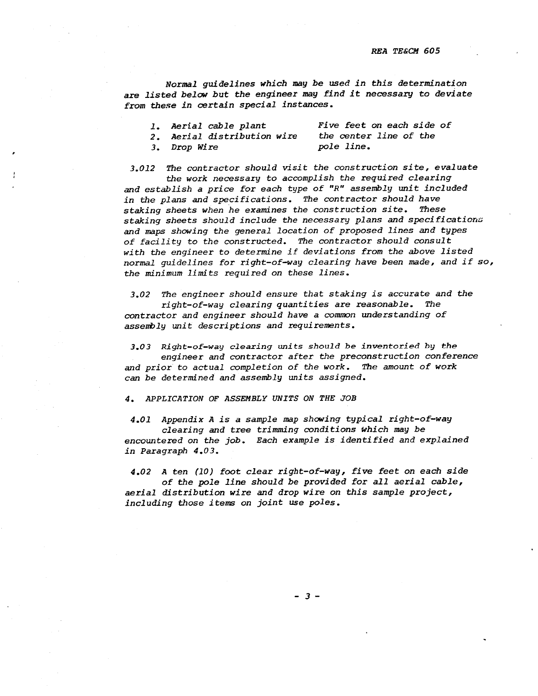*Normal guidelines which may be used in this determination*  are *listed below but the engineer may find it* necessary *to deviate from* these *in* certain *special instances.* 

| 1. Aerial cable plant       | Five feet on each side of |
|-----------------------------|---------------------------|
| 2. Aerial distribution wire | the center line of the    |
| 3. Drop Wire                | pole line.                |

*3.012 The contractor should visit the construction site, evaluate* 

*the work necessary to accomplish the required clearing and establish a price for each type of "R" assembly unit included in the plans and specifications. The contractor should have staking sheets when he examines the construction site. These staking sheets should include the necessary plans and specifications and maps showing the general location of proposed lines and types of facility to the constructed. The contractor should consult with the engineer to determine if deviations from the above listed normal guidelines for right-of-way clearing have been made, and if so, the minimum limits required on these lines.* 

*3.02 The engineer should ensure that staking is accurate and the right-of-way clearing quantities are reasonable. The contractor and engineer should have a common understanding of assembly unit descriptions and requirements.* 

*3.03 Right-of-way clearing units should be inventoried by the* 

*engineer and contractor after the preconstruction conference and prior to actual completion of the work. The amount of work can be determined and assembly units assigned.* 

*4. APPLICATION OF ASSEMBLY UNITS ON THE JOB* 

*4.01 Appendix A is a sample map showing typical right-of-way* 

*clearing and* tree *trimming conditions which may be encountered on the job. Each example is identified and explained in Paragraph 4.03.* 

*4.02 A ten (10) foot clear right-of-way, five feet on each side of the pole line should be provided for all aerial cable, aerial distribution wire and drop wire on this sample project, including those items on joint use poles.* 

*3-*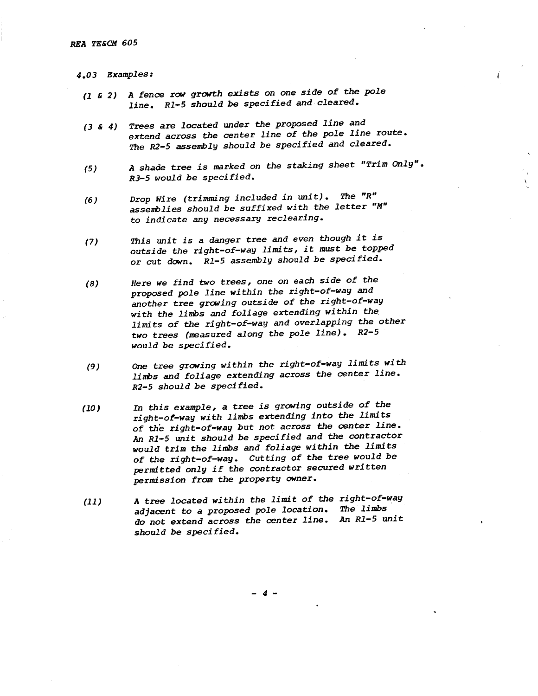- *4.03 Examples:* 
	- *(1* & *2) A fence* row *growth exists on one side of the pole line. Rl-5 should be specified and cleared.*
	- *( 3* & *4) Trees are located under the proposed line and extend across the center line of the pole line route. T.he R2-5 assembly should be specified and cleared.*
	- *(5) A shade tree is marked on the staking sheet "Trim Only". RJ-5 would be specified.*
	- *(6) Drop Wire (trimming included in unit). T.he "R" asserrblies should be suffixed with the letter "M"*  to *indicate any necessary reclearing.*
	- *(7) T.his Wli* t *is a danger tree and even though it is outside the right-of-way limits, it* must *be topped*  or *cut down. Rl-5 assembly should be specified.*
	- *(8) Here we find two* trees, *one on each side of the proposed pole line within the right-of-way and another tree growing outside of the right-of-way with the lirrbs and foliage extending within the limits of the right-of-way and overlapping the other two trees (neasured along the pole line). R2-5 would be specified.*
	- *(9) One tree growing within the right-of-way limits with limbs and foliage extending across the center line. R2-5 should be specified.*
	- *(10) In this example, a tree is growing outside of the right-of-way with limbs extending into the limits of the right-of-way but not across the center line.*  An *Rl-5 unit should be specified and the contractor would trim the limbs and foliage within the limits of the right-of-way. Cutting of the* tree *would be permitted only if the contractor secured written permission from the property owner.*
	- *(11) A tree located within the limit of the right-of-way adjacent* to *a proposed pole location. The limbs do not extend across the center line.* An *Rl-5 unit should be specified.*

*4-*